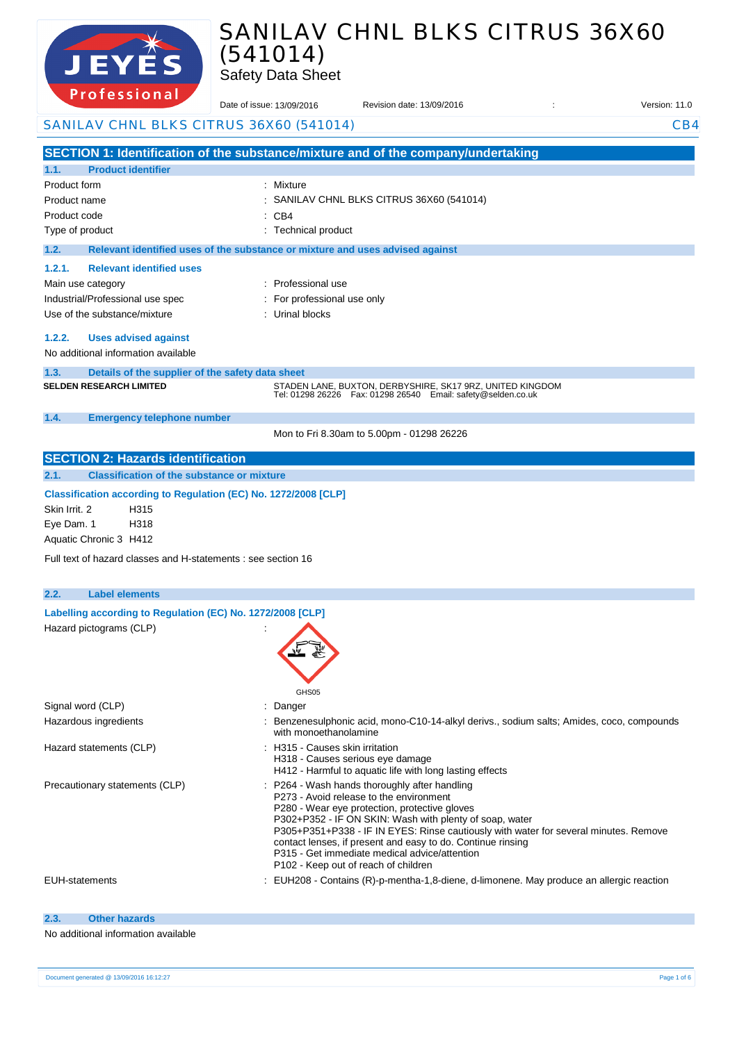

# SANILAV CHNL BLKS CITRUS 36X60 (541014)

Safety Data Sheet

| 1016331011 <b>01</b>                                                                       | Date of issue: 13/09/2016                                                     | Revision date: 13/09/2016                                                                                                       | Version: 11.0 |
|--------------------------------------------------------------------------------------------|-------------------------------------------------------------------------------|---------------------------------------------------------------------------------------------------------------------------------|---------------|
| SANILAV CHNL BLKS CITRUS 36X60 (541014)                                                    |                                                                               |                                                                                                                                 | CB4           |
|                                                                                            |                                                                               | SECTION 1: Identification of the substance/mixture and of the company/undertaking                                               |               |
| 1.1.<br><b>Product identifier</b>                                                          |                                                                               |                                                                                                                                 |               |
| Product form                                                                               | : Mixture                                                                     |                                                                                                                                 |               |
| Product name                                                                               |                                                                               | SANILAV CHNL BLKS CITRUS 36X60 (541014)                                                                                         |               |
| Product code                                                                               | : CB4                                                                         |                                                                                                                                 |               |
| Type of product                                                                            | : Technical product                                                           |                                                                                                                                 |               |
| 1.2.                                                                                       | Relevant identified uses of the substance or mixture and uses advised against |                                                                                                                                 |               |
| 1.2.1.<br><b>Relevant identified uses</b>                                                  |                                                                               |                                                                                                                                 |               |
| Main use category                                                                          | : Professional use                                                            |                                                                                                                                 |               |
| Industrial/Professional use spec                                                           | For professional use only                                                     |                                                                                                                                 |               |
| Use of the substance/mixture                                                               | : Urinal blocks                                                               |                                                                                                                                 |               |
|                                                                                            |                                                                               |                                                                                                                                 |               |
| 1.2.2.<br><b>Uses advised against</b><br>No additional information available               |                                                                               |                                                                                                                                 |               |
|                                                                                            |                                                                               |                                                                                                                                 |               |
| 1.3.<br>Details of the supplier of the safety data sheet<br><b>SELDEN RESEARCH LIMITED</b> |                                                                               |                                                                                                                                 |               |
|                                                                                            |                                                                               | STADEN LANE, BUXTON, DERBYSHIRE, SK17 9RZ, UNITED KINGDOM<br>Tel: 01298 26226    Fax: 01298 26540    Email: safety@selden.co.uk |               |
| 1.4.<br><b>Emergency telephone number</b>                                                  |                                                                               |                                                                                                                                 |               |
|                                                                                            |                                                                               | Mon to Fri 8.30am to 5.00pm - 01298 26226                                                                                       |               |
| <b>SECTION 2: Hazards identification</b>                                                   |                                                                               |                                                                                                                                 |               |
| <b>Classification of the substance or mixture</b><br>2.1.                                  |                                                                               |                                                                                                                                 |               |
|                                                                                            |                                                                               |                                                                                                                                 |               |
| Classification according to Regulation (EC) No. 1272/2008 [CLP]                            |                                                                               |                                                                                                                                 |               |
| Skin Irrit. 2<br>H315                                                                      |                                                                               |                                                                                                                                 |               |
| Eye Dam. 1<br>H318                                                                         |                                                                               |                                                                                                                                 |               |
| Aquatic Chronic 3 H412                                                                     |                                                                               |                                                                                                                                 |               |
| Full text of hazard classes and H-statements : see section 16                              |                                                                               |                                                                                                                                 |               |
|                                                                                            |                                                                               |                                                                                                                                 |               |
| 2.2.<br><b>Label elements</b>                                                              |                                                                               |                                                                                                                                 |               |
| Labelling according to Regulation (EC) No. 1272/2008 [CLP]                                 |                                                                               |                                                                                                                                 |               |
| Hazard pictograms (CLP)                                                                    |                                                                               |                                                                                                                                 |               |
|                                                                                            |                                                                               |                                                                                                                                 |               |
|                                                                                            |                                                                               |                                                                                                                                 |               |
|                                                                                            |                                                                               |                                                                                                                                 |               |
|                                                                                            | GHS05                                                                         |                                                                                                                                 |               |
| Signal word (CLP)                                                                          | : Danger                                                                      |                                                                                                                                 |               |
| Hazardous ingredients                                                                      |                                                                               | Benzenesulphonic acid, mono-C10-14-alkyl derivs., sodium salts; Amides, coco, compounds                                         |               |
|                                                                                            | with monoethanolamine<br>: H315 - Causes skin irritation                      |                                                                                                                                 |               |
| Hazard statements (CLP)                                                                    | H318 - Causes serious eye damage                                              |                                                                                                                                 |               |
|                                                                                            |                                                                               | H412 - Harmful to aquatic life with long lasting effects                                                                        |               |
| Precautionary statements (CLP)                                                             |                                                                               | : P264 - Wash hands thoroughly after handling                                                                                   |               |
|                                                                                            |                                                                               | P273 - Avoid release to the environment<br>P280 - Wear eye protection, protective gloves                                        |               |
|                                                                                            |                                                                               | P302+P352 - IF ON SKIN: Wash with plenty of soap, water                                                                         |               |
|                                                                                            |                                                                               | P305+P351+P338 - IF IN EYES: Rinse cautiously with water for several minutes. Remove                                            |               |
|                                                                                            |                                                                               | contact lenses, if present and easy to do. Continue rinsing                                                                     |               |
|                                                                                            | P102 - Keep out of reach of children                                          | P315 - Get immediate medical advice/attention                                                                                   |               |
| <b>EUH-statements</b>                                                                      |                                                                               | EUH208 - Contains (R)-p-mentha-1,8-diene, d-limonene. May produce an allergic reaction                                          |               |
|                                                                                            |                                                                               |                                                                                                                                 |               |
|                                                                                            |                                                                               |                                                                                                                                 |               |
| <b>Other hazards</b><br>2.3.                                                               |                                                                               |                                                                                                                                 |               |

|  |  |  | No additional information available |  |
|--|--|--|-------------------------------------|--|
|  |  |  |                                     |  |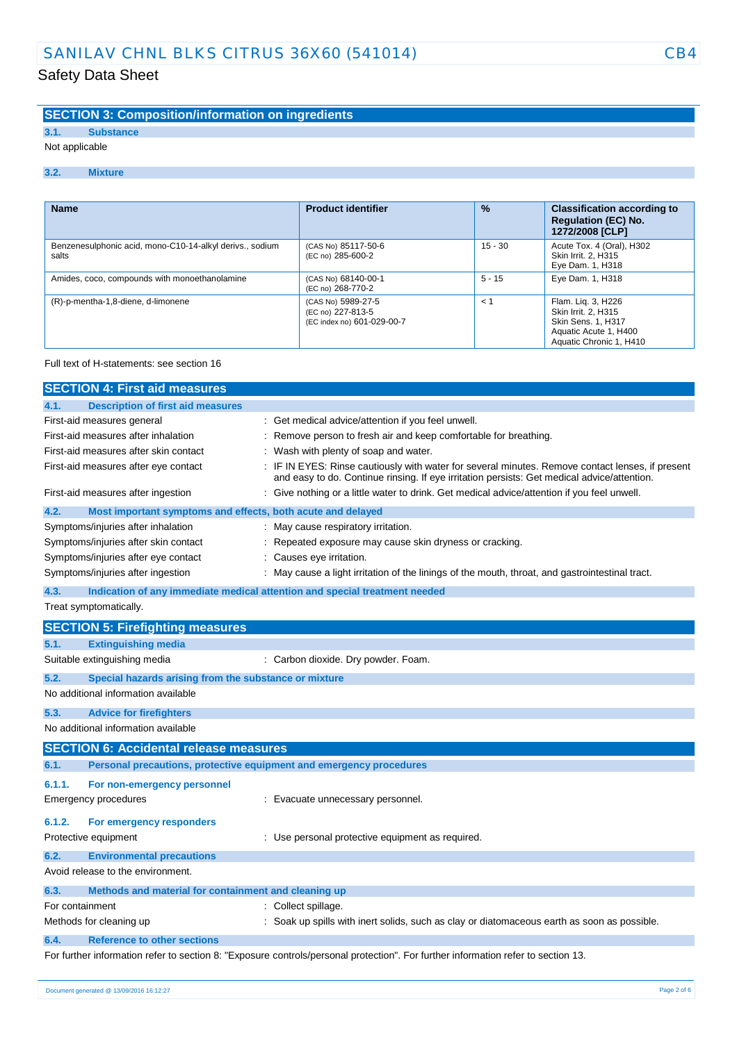#### **SECTION 3: Composition/information on ingredients**

**3.1. Substance**

Not applicable

#### **3.2. Mixture**

| <b>Name</b>                                                       | <b>Product identifier</b>                                             | $\frac{9}{6}$ | <b>Classification according to</b><br><b>Regulation (EC) No.</b><br>1272/2008 [CLP]                                        |
|-------------------------------------------------------------------|-----------------------------------------------------------------------|---------------|----------------------------------------------------------------------------------------------------------------------------|
| Benzenesulphonic acid, mono-C10-14-alkyl derivs., sodium<br>salts | (CAS No) 85117-50-6<br>(EC no) 285-600-2                              | $15 - 30$     | Acute Tox. 4 (Oral), H302<br>Skin Irrit. 2, H315<br>Eye Dam. 1, H318                                                       |
| Amides, coco, compounds with monoethanolamine                     | (CAS No) 68140-00-1<br>(EC no) 268-770-2                              | $5 - 15$      | Eye Dam. 1, H318                                                                                                           |
| (R)-p-mentha-1,8-diene, d-limonene                                | (CAS No) 5989-27-5<br>(EC no) 227-813-5<br>(EC index no) 601-029-00-7 | $\lt'$        | Flam. Lig. 3, H226<br>Skin Irrit. 2. H315<br><b>Skin Sens. 1. H317</b><br>Aquatic Acute 1, H400<br>Aquatic Chronic 1, H410 |

#### Full text of H-statements: see section 16

| <b>SECTION 4: First aid measures</b>                          |                                                                                                                                                                                               |
|---------------------------------------------------------------|-----------------------------------------------------------------------------------------------------------------------------------------------------------------------------------------------|
| <b>Description of first aid measures</b><br>4.1.              |                                                                                                                                                                                               |
| First-aid measures general                                    | Get medical advice/attention if you feel unwell.                                                                                                                                              |
| First-aid measures after inhalation                           | Remove person to fresh air and keep comfortable for breathing.                                                                                                                                |
| First-aid measures after skin contact                         | Wash with plenty of soap and water.                                                                                                                                                           |
| First-aid measures after eye contact                          | IF IN EYES: Rinse cautiously with water for several minutes. Remove contact lenses, if present<br>and easy to do. Continue rinsing. If eye irritation persists: Get medical advice/attention. |
| First-aid measures after ingestion                            | Give nothing or a little water to drink. Get medical advice/attention if you feel unwell.                                                                                                     |
| 4.2.                                                          | Most important symptoms and effects, both acute and delayed                                                                                                                                   |
| Symptoms/injuries after inhalation                            | May cause respiratory irritation.                                                                                                                                                             |
| Symptoms/injuries after skin contact                          | Repeated exposure may cause skin dryness or cracking.                                                                                                                                         |
| Symptoms/injuries after eye contact                           | Causes eye irritation.                                                                                                                                                                        |
| Symptoms/injuries after ingestion                             | May cause a light irritation of the linings of the mouth, throat, and gastrointestinal tract.                                                                                                 |
| 4.3.                                                          | Indication of any immediate medical attention and special treatment needed                                                                                                                    |
| Treat symptomatically.                                        |                                                                                                                                                                                               |
| <b>SECTION 5: Firefighting measures</b>                       |                                                                                                                                                                                               |
| <b>Extinguishing media</b><br>5.1.                            |                                                                                                                                                                                               |
| Suitable extinguishing media                                  | : Carbon dioxide. Dry powder. Foam.                                                                                                                                                           |
| 5.2.<br>Special hazards arising from the substance or mixture |                                                                                                                                                                                               |
| No additional information available                           |                                                                                                                                                                                               |
| 5.3.<br><b>Advice for firefighters</b>                        |                                                                                                                                                                                               |
| No additional information available                           |                                                                                                                                                                                               |
| <b>SECTION 6: Accidental release measures</b>                 |                                                                                                                                                                                               |
| 6.1.                                                          | Personal precautions, protective equipment and emergency procedures                                                                                                                           |
| 6.1.1.<br>For non-emergency personnel                         |                                                                                                                                                                                               |
| Emergency procedures                                          | : Evacuate unnecessary personnel.                                                                                                                                                             |
| 6.1.2.<br>For emergency responders                            |                                                                                                                                                                                               |
| Protective equipment                                          | : Use personal protective equipment as required.                                                                                                                                              |
| 6.2.<br><b>Environmental precautions</b>                      |                                                                                                                                                                                               |
| Avoid release to the environment.                             |                                                                                                                                                                                               |
| 6.3.<br>Methods and material for containment and cleaning up  |                                                                                                                                                                                               |
| For containment                                               | : Collect spillage.                                                                                                                                                                           |
| Methods for cleaning up                                       | : Soak up spills with inert solids, such as clay or diatomaceous earth as soon as possible.                                                                                                   |
| 6.4.<br><b>Reference to other sections</b>                    |                                                                                                                                                                                               |
|                                                               | For further information refer to section 8: "Exposure controls/personal protection". For further information refer to section 13.                                                             |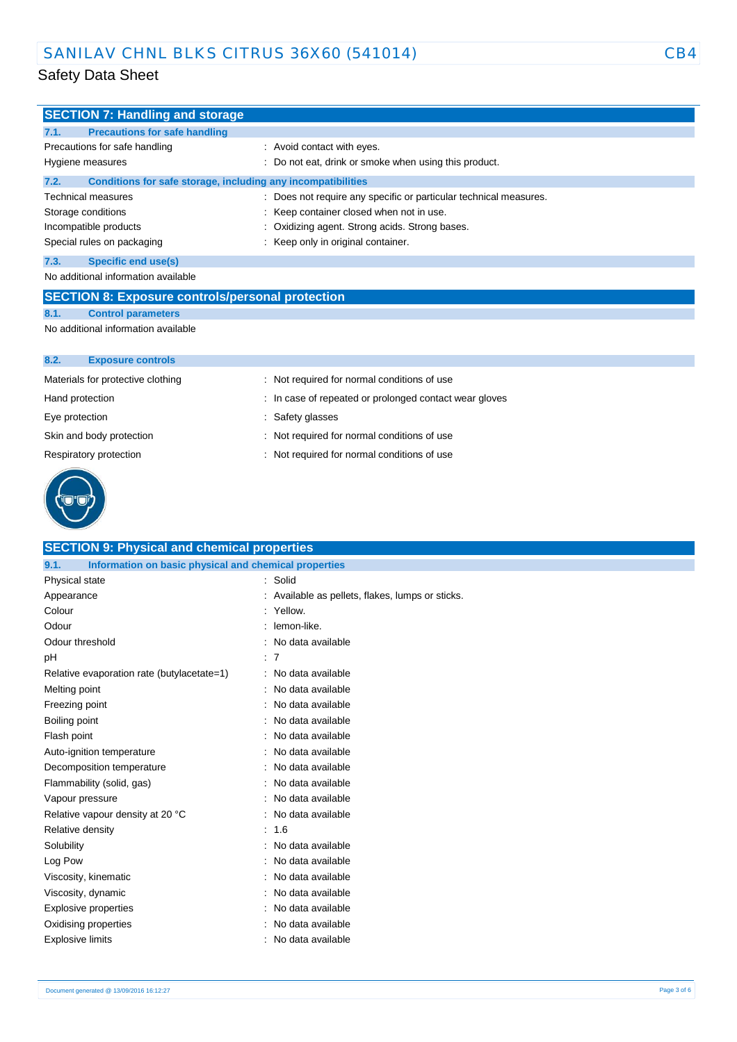| <b>SECTION 7: Handling and storage</b>                               |                                                                   |  |  |
|----------------------------------------------------------------------|-------------------------------------------------------------------|--|--|
| <b>Precautions for safe handling</b><br>7.1.                         |                                                                   |  |  |
| Precautions for safe handling                                        | : Avoid contact with eyes.                                        |  |  |
| Hygiene measures                                                     | Do not eat, drink or smoke when using this product.               |  |  |
| 7.2.<br>Conditions for safe storage, including any incompatibilities |                                                                   |  |  |
| Technical measures                                                   | : Does not require any specific or particular technical measures. |  |  |
| Storage conditions                                                   | Keep container closed when not in use.                            |  |  |
| Incompatible products                                                | Oxidizing agent. Strong acids. Strong bases.                      |  |  |
| Special rules on packaging                                           | Keep only in original container.                                  |  |  |
| 7.3.<br><b>Specific end use(s)</b>                                   |                                                                   |  |  |
| No additional information available                                  |                                                                   |  |  |
| <b>SECTION 8: Exposure controls/personal protection</b>              |                                                                   |  |  |
| <b>Control parameters</b><br>8.1.                                    |                                                                   |  |  |
| No additional information available                                  |                                                                   |  |  |
|                                                                      |                                                                   |  |  |
| 8.2.<br><b>Exposure controls</b>                                     |                                                                   |  |  |
| Materials for protective clothing                                    | : Not required for normal conditions of use                       |  |  |
| Hand protection                                                      | In case of repeated or prolonged contact wear gloves              |  |  |
| Eye protection                                                       | Safety glasses                                                    |  |  |
| Skin and body protection                                             | : Not required for normal conditions of use                       |  |  |

Respiratory protection : Not required for normal conditions of use



| <b>SECTION 9: Physical and chemical properties</b>            |                                                |  |  |
|---------------------------------------------------------------|------------------------------------------------|--|--|
| Information on basic physical and chemical properties<br>9.1. |                                                |  |  |
| Physical state                                                | : Solid                                        |  |  |
| Appearance                                                    | Available as pellets, flakes, lumps or sticks. |  |  |
| Colour                                                        | : Yellow.                                      |  |  |
| Odour                                                         | lemon-like.                                    |  |  |
| Odour threshold                                               | No data available                              |  |  |
| pH                                                            | : 7                                            |  |  |
| Relative evaporation rate (butylacetate=1)                    | No data available                              |  |  |
| Melting point                                                 | No data available                              |  |  |
| Freezing point                                                | No data available                              |  |  |
| Boiling point                                                 | No data available                              |  |  |
| Flash point                                                   | No data available                              |  |  |
| Auto-ignition temperature                                     | No data available                              |  |  |
| Decomposition temperature                                     | No data available                              |  |  |
| Flammability (solid, gas)                                     | No data available                              |  |  |
| Vapour pressure                                               | No data available                              |  |  |
| Relative vapour density at 20 °C                              | No data available                              |  |  |
| Relative density                                              | 1.6                                            |  |  |
| Solubility                                                    | No data available                              |  |  |
| Log Pow                                                       | No data available                              |  |  |
| Viscosity, kinematic                                          | No data available                              |  |  |
| Viscosity, dynamic                                            | No data available                              |  |  |
| <b>Explosive properties</b>                                   | No data available                              |  |  |
| Oxidising properties                                          | No data available                              |  |  |
| Explosive limits                                              | No data available                              |  |  |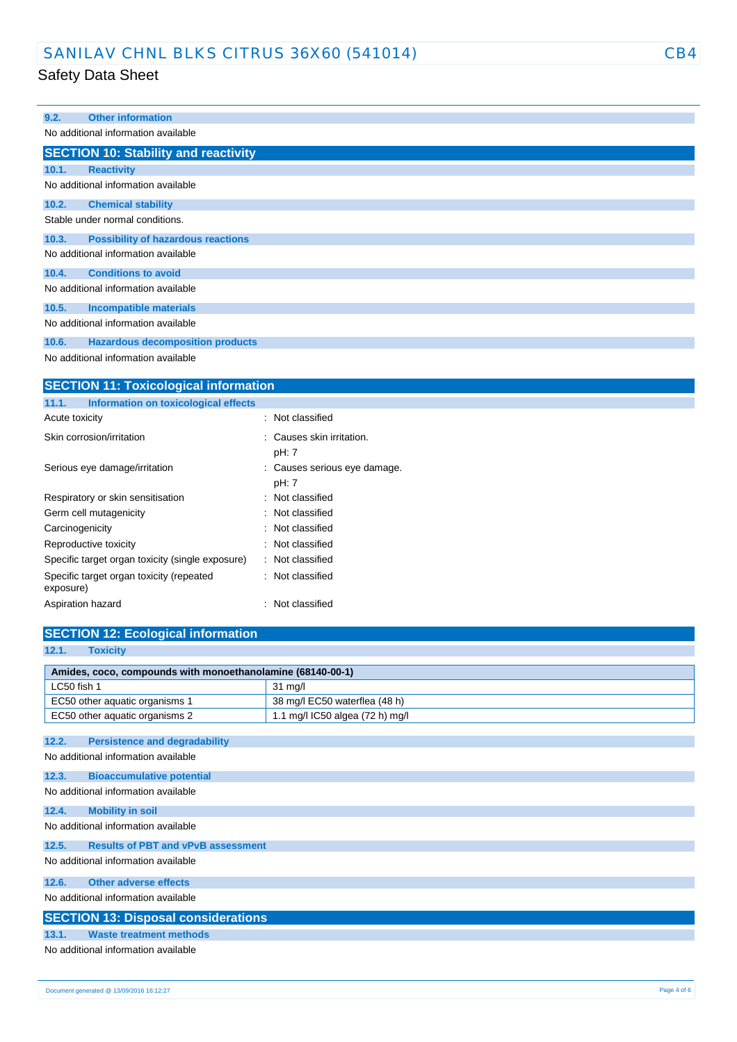### SANILAV CHNL BLKS CITRUS 36X60 (541014) CB4

#### Safety Data Sheet

| 9.2.  | <b>Other information</b>                    |
|-------|---------------------------------------------|
|       | No additional information available         |
|       | <b>SECTION 10: Stability and reactivity</b> |
| 10.1. | <b>Reactivity</b>                           |
|       | No additional information available         |
| 10.2. | <b>Chemical stability</b>                   |
|       | Stable under normal conditions.             |
| 10.3. | <b>Possibility of hazardous reactions</b>   |
|       | No additional information available         |
| 10.4. | <b>Conditions to avoid</b>                  |
|       | No additional information available         |
| 10.5. | <b>Incompatible materials</b>               |
|       | No additional information available         |
| 10.6. | <b>Hazardous decomposition products</b>     |
|       | No additional information available         |

**SECTION 11: Toxicological information 11.1. Information on toxicological effects** Acute toxicity **in the case of the contract of the contract of the contract of the contract of the contract of the contract of the contract of the contract of the contract of the contract of the contract of the contract of** Skin corrosion/irritation  $\cdot$  : Causes skin irritation. pH: 7 Serious eye damage/irritation : Causes serious eye damage. pH: 7 Respiratory or skin sensitisation : Not classified Germ cell mutagenicity **Second Contract Contract Contract Contract Contract Contract Contract Contract Contract Contract Contract Contract Contract Contract Contract Contract Contract Contract Contract Contract Contract Co** Carcinogenicity **Carcinogenicity** : Not classified Reproductive toxicity **in the case of the CRS** control of the Reproductive toxicity Specific target organ toxicity (single exposure) : Not classified Specific target organ toxicity (repeated exposure) : Not classified Aspiration hazard **in the set of the set of the set of the set of the set of the set of the set of the set of the set of the set of the set of the set of the set of the set of the set of the set of the set of the set of th** 

| <b>SECTION 12: Ecological information</b>                  |                                 |  |  |  |
|------------------------------------------------------------|---------------------------------|--|--|--|
| <b>Toxicity</b><br>12.1.                                   |                                 |  |  |  |
| Amides, coco, compounds with monoethanolamine (68140-00-1) |                                 |  |  |  |
| LC50 fish 1                                                | $31$ mg/l                       |  |  |  |
| EC50 other aquatic organisms 1                             | 38 mg/l EC50 waterflea (48 h)   |  |  |  |
| EC50 other aquatic organisms 2                             | 1.1 mg/l IC50 algea (72 h) mg/l |  |  |  |
|                                                            |                                 |  |  |  |
| 12.2.<br><b>Persistence and degradability</b>              |                                 |  |  |  |
| No additional information available                        |                                 |  |  |  |
| 12.3.<br><b>Bioaccumulative potential</b>                  |                                 |  |  |  |
| No additional information available                        |                                 |  |  |  |
| 12.4.<br><b>Mobility in soil</b>                           |                                 |  |  |  |
| No additional information available                        |                                 |  |  |  |
|                                                            |                                 |  |  |  |
| <b>Results of PBT and vPvB assessment</b><br>12.5.         |                                 |  |  |  |
| No additional information available                        |                                 |  |  |  |
| <b>Other adverse effects</b><br>12.6.                      |                                 |  |  |  |
| No additional information available                        |                                 |  |  |  |
| <b>SECTION 13: Disposal considerations</b>                 |                                 |  |  |  |
| <b>Waste treatment methods</b><br>13.1.                    |                                 |  |  |  |
| No additional information available                        |                                 |  |  |  |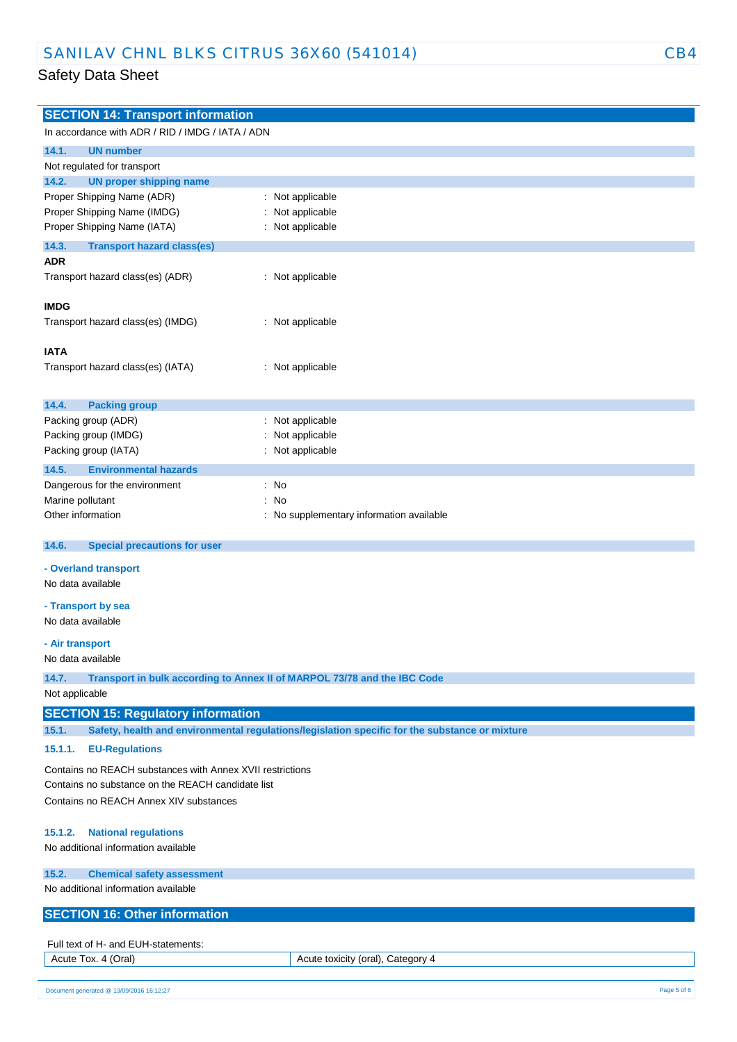| <b>SECTION 14: Transport information</b>                  |                                                                                                |  |  |
|-----------------------------------------------------------|------------------------------------------------------------------------------------------------|--|--|
| In accordance with ADR / RID / IMDG / IATA / ADN          |                                                                                                |  |  |
| 14.1.<br><b>UN number</b>                                 |                                                                                                |  |  |
| Not regulated for transport                               |                                                                                                |  |  |
| <b>UN proper shipping name</b><br>14.2.                   |                                                                                                |  |  |
| Proper Shipping Name (ADR)                                | Not applicable                                                                                 |  |  |
| Proper Shipping Name (IMDG)                               | Not applicable                                                                                 |  |  |
| Proper Shipping Name (IATA)                               | Not applicable                                                                                 |  |  |
| 14.3.<br><b>Transport hazard class(es)</b>                |                                                                                                |  |  |
| <b>ADR</b>                                                |                                                                                                |  |  |
| Transport hazard class(es) (ADR)                          | : Not applicable                                                                               |  |  |
| <b>IMDG</b>                                               |                                                                                                |  |  |
| Transport hazard class(es) (IMDG)                         | : Not applicable                                                                               |  |  |
|                                                           |                                                                                                |  |  |
| <b>IATA</b>                                               |                                                                                                |  |  |
|                                                           |                                                                                                |  |  |
| Transport hazard class(es) (IATA)                         | : Not applicable                                                                               |  |  |
|                                                           |                                                                                                |  |  |
| 14.4.<br><b>Packing group</b>                             |                                                                                                |  |  |
| Packing group (ADR)                                       | Not applicable                                                                                 |  |  |
| Packing group (IMDG)                                      | Not applicable                                                                                 |  |  |
|                                                           |                                                                                                |  |  |
| Packing group (IATA)                                      | Not applicable                                                                                 |  |  |
| 14.5.<br><b>Environmental hazards</b>                     |                                                                                                |  |  |
| Dangerous for the environment                             | No<br>÷                                                                                        |  |  |
| Marine pollutant                                          | No                                                                                             |  |  |
| Other information                                         | No supplementary information available                                                         |  |  |
|                                                           |                                                                                                |  |  |
| 14.6.<br><b>Special precautions for user</b>              |                                                                                                |  |  |
| - Overland transport                                      |                                                                                                |  |  |
| No data available                                         |                                                                                                |  |  |
| - Transport by sea                                        |                                                                                                |  |  |
| No data available                                         |                                                                                                |  |  |
|                                                           |                                                                                                |  |  |
| - Air transport                                           |                                                                                                |  |  |
| No data available                                         |                                                                                                |  |  |
| 14.7.                                                     | Transport in bulk according to Annex II of MARPOL 73/78 and the IBC Code                       |  |  |
| Not applicable                                            |                                                                                                |  |  |
|                                                           |                                                                                                |  |  |
| <b>SECTION 15: Regulatory information</b>                 |                                                                                                |  |  |
| 15.1.                                                     | Safety, health and environmental regulations/legislation specific for the substance or mixture |  |  |
| 15.1.1.<br><b>EU-Regulations</b>                          |                                                                                                |  |  |
|                                                           |                                                                                                |  |  |
| Contains no REACH substances with Annex XVII restrictions |                                                                                                |  |  |
| Contains no substance on the REACH candidate list         |                                                                                                |  |  |
| Contains no REACH Annex XIV substances                    |                                                                                                |  |  |
|                                                           |                                                                                                |  |  |
| <b>National regulations</b><br>15.1.2.                    |                                                                                                |  |  |
| No additional information available                       |                                                                                                |  |  |
|                                                           |                                                                                                |  |  |
| 15.2.<br><b>Chemical safety assessment</b>                |                                                                                                |  |  |
| No additional information available                       |                                                                                                |  |  |
| <b>SECTION 16: Other information</b>                      |                                                                                                |  |  |
|                                                           |                                                                                                |  |  |
| Full text of H- and EUH-statements:                       |                                                                                                |  |  |
| Acute Tox. 4 (Oral)                                       | Acute toxicity (oral), Category 4                                                              |  |  |
|                                                           |                                                                                                |  |  |
|                                                           |                                                                                                |  |  |